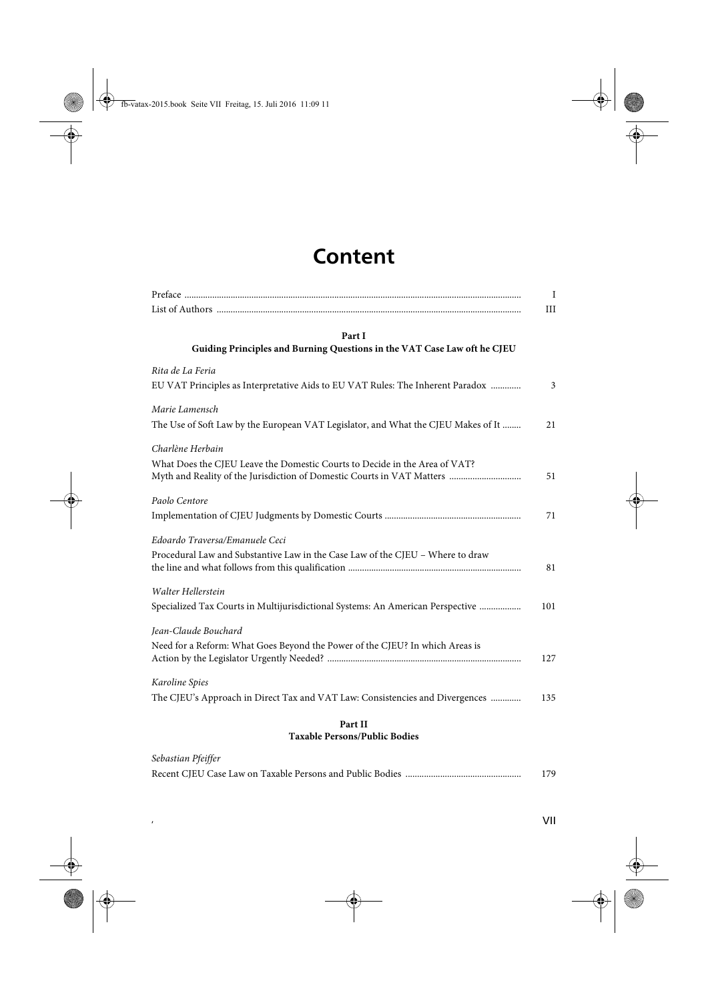## **Content**

| Part I                                                                            |     |
|-----------------------------------------------------------------------------------|-----|
| Guiding Principles and Burning Questions in the VAT Case Law oft he CJEU          |     |
| Rita de La Feria                                                                  |     |
| EU VAT Principles as Interpretative Aids to EU VAT Rules: The Inherent Paradox    |     |
| Marie Lamensch                                                                    |     |
| The Use of Soft Law by the European VAT Legislator, and What the CJEU Makes of It |     |
| Charlène Herbain                                                                  |     |
| What Does the CJEU Leave the Domestic Courts to Decide in the Area of VAT?        |     |
| Myth and Reality of the Jurisdiction of Domestic Courts in VAT Matters            |     |
| Paolo Centore                                                                     |     |
|                                                                                   |     |
| Edoardo Traversa/Emanuele Ceci                                                    |     |
| Procedural Law and Substantive Law in the Case Law of the CJEU - Where to draw    |     |
|                                                                                   |     |
| Walter Hellerstein                                                                |     |
| Specialized Tax Courts in Multijurisdictional Systems: An American Perspective    | 101 |
| Jean-Claude Bouchard                                                              |     |
| Need for a Reform: What Goes Beyond the Power of the CJEU? In which Areas is      |     |
|                                                                                   | 127 |
| Karoline Spies                                                                    |     |
| The CJEU's Approach in Direct Tax and VAT Law: Consistencies and Divergences      | 135 |
| Part II                                                                           |     |

## **Taxable Persons/Public Bodies**

| Sebastian Pfeiffer |     |
|--------------------|-----|
|                    | 179 |